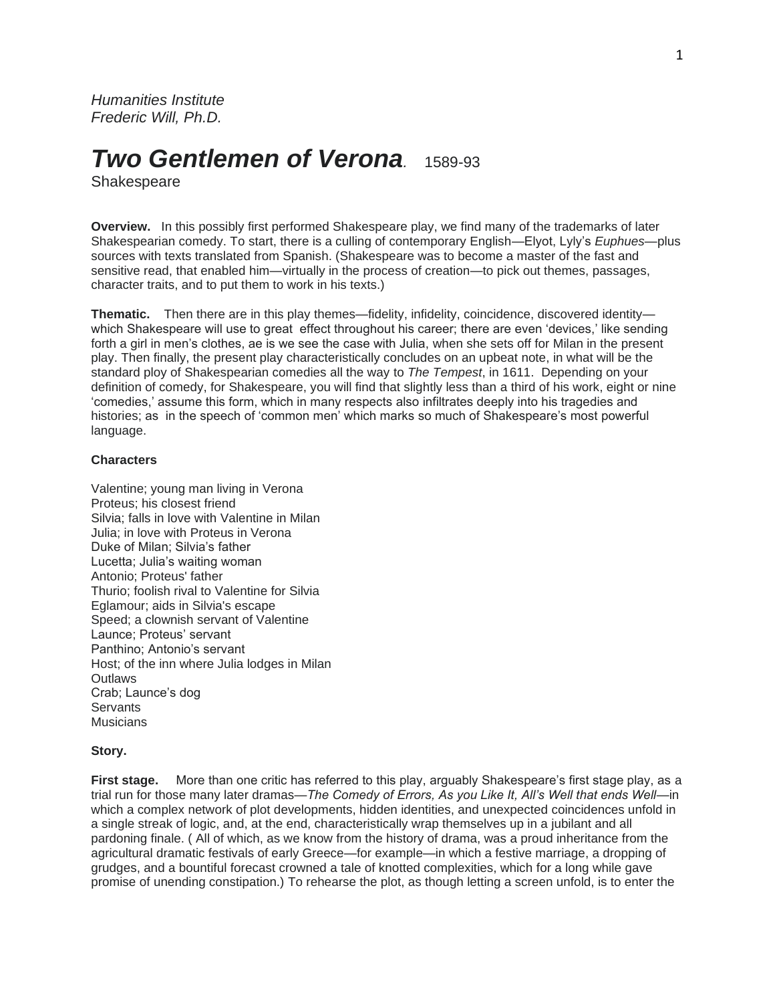*Humanities Institute Frederic Will, Ph.D.*

# *Two Gentlemen of Verona.* 1589-93

Shakespeare

**Overview.** In this possibly first performed Shakespeare play, we find many of the trademarks of later Shakespearian comedy. To start, there is a culling of contemporary English—Elyot, Lyly's *Euphues*—plus sources with texts translated from Spanish. (Shakespeare was to become a master of the fast and sensitive read, that enabled him—virtually in the process of creation—to pick out themes, passages, character traits, and to put them to work in his texts.)

**Thematic.** Then there are in this play themes—fidelity, infidelity, coincidence, discovered identity which Shakespeare will use to great effect throughout his career; there are even 'devices,' like sending forth a girl in men's clothes, ae is we see the case with Julia, when she sets off for Milan in the present play. Then finally, the present play characteristically concludes on an upbeat note, in what will be the standard ploy of Shakespearian comedies all the way to *The Tempest*, in 1611. Depending on your definition of comedy, for Shakespeare, you will find that slightly less than a third of his work, eight or nine 'comedies,' assume this form, which in many respects also infiltrates deeply into his tragedies and histories; as in the speech of 'common men' which marks so much of Shakespeare's most powerful language.

## **Characters**

Valentine; young man living in Verona Proteus; his closest friend Silvia; falls in love with Valentine in Milan Julia; in love with Proteus in Verona Duke of Milan; Silvia's father Lucetta; Julia's waiting woman Antonio; Proteus' father Thurio; foolish rival to Valentine for Silvia Eglamour; aids in Silvia's escape Speed; a clownish servant of Valentine Launce; Proteus' servant Panthino; Antonio's servant Host; of the inn where Julia lodges in Milan **Outlaws** Crab; Launce's dog Servants Musicians

#### **Story.**

**First stage.** More than one critic has referred to this play, arguably Shakespeare's first stage play, as a trial run for those many later dramas—*The Comedy of Errors, As you Like It, All's Well that ends Well—*in which a complex network of plot developments, hidden identities, and unexpected coincidences unfold in a single streak of logic, and, at the end, characteristically wrap themselves up in a jubilant and all pardoning finale. ( All of which, as we know from the history of drama, was a proud inheritance from the agricultural dramatic festivals of early Greece—for example—in which a festive marriage, a dropping of grudges, and a bountiful forecast crowned a tale of knotted complexities, which for a long while gave promise of unending constipation.) To rehearse the plot, as though letting a screen unfold, is to enter the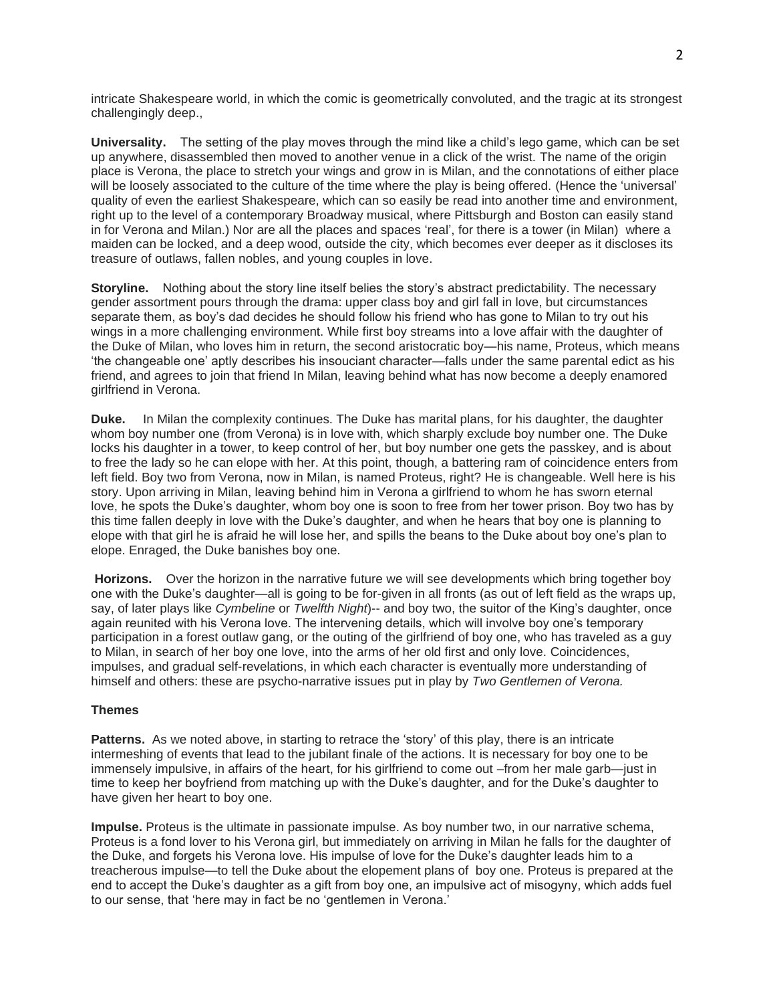intricate Shakespeare world, in which the comic is geometrically convoluted, and the tragic at its strongest challengingly deep.,

**Universality.** The setting of the play moves through the mind like a child's lego game, which can be set up anywhere, disassembled then moved to another venue in a click of the wrist. The name of the origin place is Verona, the place to stretch your wings and grow in is Milan, and the connotations of either place will be loosely associated to the culture of the time where the play is being offered. (Hence the 'universal' quality of even the earliest Shakespeare, which can so easily be read into another time and environment, right up to the level of a contemporary Broadway musical, where Pittsburgh and Boston can easily stand in for Verona and Milan.) Nor are all the places and spaces 'real', for there is a tower (in Milan) where a maiden can be locked, and a deep wood, outside the city, which becomes ever deeper as it discloses its treasure of outlaws, fallen nobles, and young couples in love.

**Storyline.** Nothing about the story line itself belies the story's abstract predictability. The necessary gender assortment pours through the drama: upper class boy and girl fall in love, but circumstances separate them, as boy's dad decides he should follow his friend who has gone to Milan to try out his wings in a more challenging environment. While first boy streams into a love affair with the daughter of the Duke of Milan, who loves him in return, the second aristocratic boy—his name, Proteus, which means 'the changeable one' aptly describes his insouciant character—falls under the same parental edict as his friend, and agrees to join that friend In Milan, leaving behind what has now become a deeply enamored girlfriend in Verona.

**Duke.** In Milan the complexity continues. The Duke has marital plans, for his daughter, the daughter whom boy number one (from Verona) is in love with, which sharply exclude boy number one. The Duke locks his daughter in a tower, to keep control of her, but boy number one gets the passkey, and is about to free the lady so he can elope with her. At this point, though, a battering ram of coincidence enters from left field. Boy two from Verona, now in Milan, is named Proteus, right? He is changeable. Well here is his story. Upon arriving in Milan, leaving behind him in Verona a girlfriend to whom he has sworn eternal love, he spots the Duke's daughter, whom boy one is soon to free from her tower prison. Boy two has by this time fallen deeply in love with the Duke's daughter, and when he hears that boy one is planning to elope with that girl he is afraid he will lose her, and spills the beans to the Duke about boy one's plan to elope. Enraged, the Duke banishes boy one.

**Horizons.** Over the horizon in the narrative future we will see developments which bring together boy one with the Duke's daughter—all is going to be for-given in all fronts (as out of left field as the wraps up, say, of later plays like *Cymbeline* or *Twelfth Night*)-- and boy two, the suitor of the King's daughter, once again reunited with his Verona love. The intervening details, which will involve boy one's temporary participation in a forest outlaw gang, or the outing of the girlfriend of boy one, who has traveled as a guy to Milan, in search of her boy one love, into the arms of her old first and only love. Coincidences, impulses, and gradual self-revelations, in which each character is eventually more understanding of himself and others: these are psycho-narrative issues put in play by *Two Gentlemen of Verona.*

## **Themes**

**Patterns.** As we noted above, in starting to retrace the 'story' of this play, there is an intricate intermeshing of events that lead to the jubilant finale of the actions. It is necessary for boy one to be immensely impulsive, in affairs of the heart, for his girlfriend to come out –from her male garb—just in time to keep her boyfriend from matching up with the Duke's daughter, and for the Duke's daughter to have given her heart to boy one.

**Impulse.** Proteus is the ultimate in passionate impulse. As boy number two, in our narrative schema, Proteus is a fond lover to his Verona girl, but immediately on arriving in Milan he falls for the daughter of the Duke, and forgets his Verona love. His impulse of love for the Duke's daughter leads him to a treacherous impulse—to tell the Duke about the elopement plans of boy one. Proteus is prepared at the end to accept the Duke's daughter as a gift from boy one, an impulsive act of misogyny, which adds fuel to our sense, that 'here may in fact be no 'gentlemen in Verona.'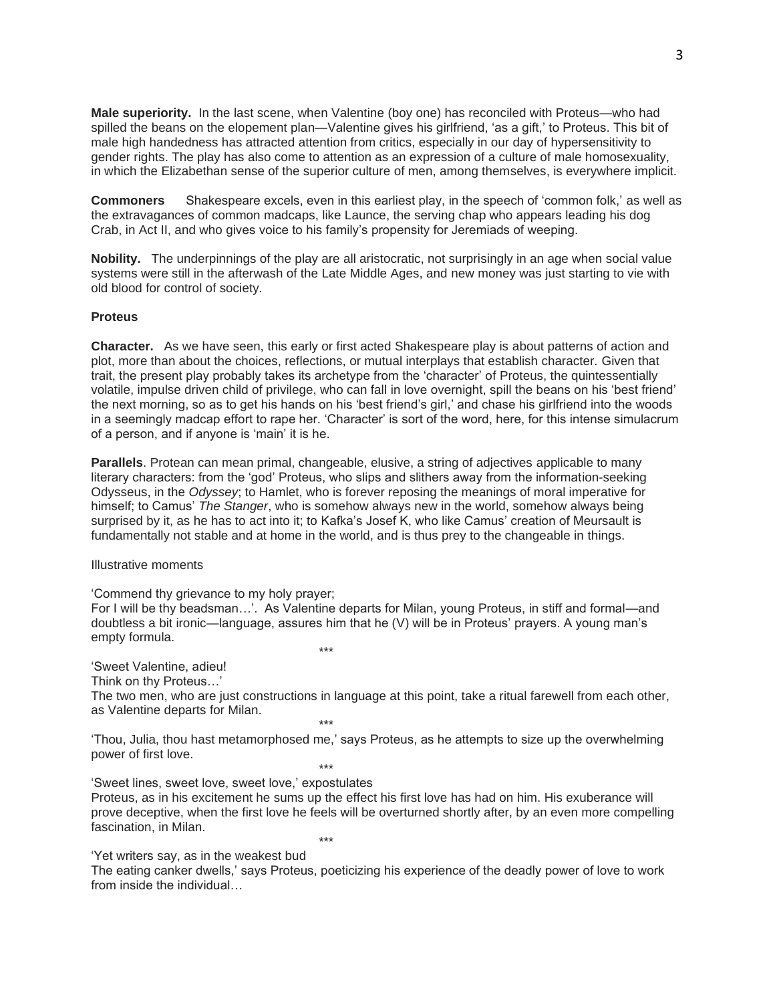**Male superiority.** In the last scene, when Valentine (boy one) has reconciled with Proteus—who had spilled the beans on the elopement plan—Valentine gives his girlfriend, 'as a gift,' to Proteus. This bit of male high handedness has attracted attention from critics, especially in our day of hypersensitivity to gender rights. The play has also come to attention as an expression of a culture of male homosexuality, in which the Elizabethan sense of the superior culture of men, among themselves, is everywhere implicit.

**Commoners** Shakespeare excels, even in this earliest play, in the speech of 'common folk,' as well as the extravagances of common madcaps, like Launce, the serving chap who appears leading his dog Crab, in Act II, and who gives voice to his family's propensity for Jeremiads of weeping.

**Nobility.** The underpinnings of the play are all aristocratic, not surprisingly in an age when social value systems were still in the afterwash of the Late Middle Ages, and new money was just starting to vie with old blood for control of society.

## **Proteus**

**Character.** As we have seen, this early or first acted Shakespeare play is about patterns of action and plot, more than about the choices, reflections, or mutual interplays that establish character. Given that trait, the present play probably takes its archetype from the 'character' of Proteus, the quintessentially volatile, impulse driven child of privilege, who can fall in love overnight, spill the beans on his 'best friend' the next morning, so as to get his hands on his 'best friend's girl,' and chase his girlfriend into the woods in a seemingly madcap effort to rape her. 'Character' is sort of the word, here, for this intense simulacrum of a person, and if anyone is 'main' it is he.

**Parallels**. Protean can mean primal, changeable, elusive, a string of adjectives applicable to many literary characters: from the 'god' Proteus, who slips and slithers away from the information-seeking Odysseus, in the *Odyssey*; to Hamlet, who is forever reposing the meanings of moral imperative for himself; to Camus' *The Stanger*, who is somehow always new in the world, somehow always being surprised by it, as he has to act into it; to Kafka's Josef K, who like Camus' creation of Meursault is fundamentally not stable and at home in the world, and is thus prey to the changeable in things.

Illustrative moments

'Commend thy grievance to my holy prayer;

For I will be thy beadsman…'. As Valentine departs for Milan, young Proteus, in stiff and formal—and doubtless a bit ironic—language, assures him that he (V) will be in Proteus' prayers. A young man's empty formula. \*\*\*

'Sweet Valentine, adieu!

Think on thy Proteus…'

The two men, who are just constructions in language at this point, take a ritual farewell from each other, as Valentine departs for Milan.

'Thou, Julia, thou hast metamorphosed me,' says Proteus, as he attempts to size up the overwhelming power of first love. \*\*\*

\*\*\*

'Sweet lines, sweet love, sweet love,' expostulates Proteus, as in his excitement he sums up the effect his first love has had on him. His exuberance will prove deceptive, when the first love he feels will be overturned shortly after, by an even more compelling fascination, in Milan. \*\*\*

'Yet writers say, as in the weakest bud

The eating canker dwells,' says Proteus, poeticizing his experience of the deadly power of love to work from inside the individual…